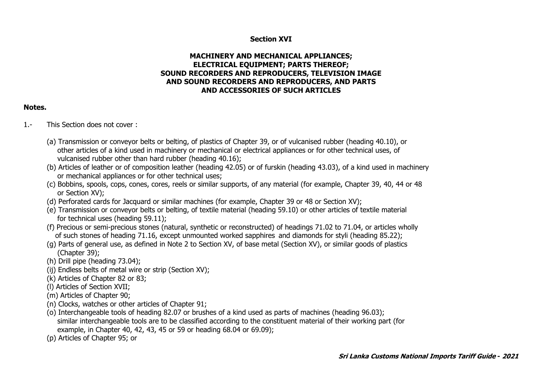## **Section XVI**

## **MACHINERY AND MECHANICAL APPLIANCES; ELECTRICAL EQUIPMENT; PARTS THEREOF; SOUND RECORDERS AND REPRODUCERS, TELEVISION IMAGE AND SOUND RECORDERS AND REPRODUCERS, AND PARTS AND ACCESSORIES OF SUCH ARTICLES**

## **Notes.**

- 1.- This Section does not cover :
	- (a) Transmission or conveyor belts or belting, of plastics of Chapter 39, or of vulcanised rubber (heading 40.10), or other articles of a kind used in machinery or mechanical or electrical appliances or for other technical uses, of vulcanised rubber other than hard rubber (heading 40.16);
	- (b) Articles of leather or of composition leather (heading 42.05) or of furskin (heading 43.03), of a kind used in machinery or mechanical appliances or for other technical uses;
	- (c) Bobbins, spools, cops, cones, cores, reels or similar supports, of any material (for example, Chapter 39, 40, 44 or 48 or Section XV);
	- (d) Perforated cards for Jacquard or similar machines (for example, Chapter 39 or 48 or Section XV);
	- (e) Transmission or conveyor belts or belting, of textile material (heading 59.10) or other articles of textile material for technical uses (heading 59.11);
	- (f) Precious or semi-precious stones (natural, synthetic or reconstructed) of headings 71.02 to 71.04, or articles wholly of such stones of heading 71.16, except unmounted worked sapphires and diamonds for styli (heading 85.22);
	- (g) Parts of general use, as defined in Note 2 to Section XV, of base metal (Section XV), or similar goods of plastics (Chapter 39);
	- (h) Drill pipe (heading 73.04);
	- (ij) Endless belts of metal wire or strip (Section XV);
	- (k) Articles of Chapter 82 or 83;
	- (l) Articles of Section XVII;
	- (m) Articles of Chapter 90;
	- (n) Clocks, watches or other articles of Chapter 91;
	- (o) Interchangeable tools of heading 82.07 or brushes of a kind used as parts of machines (heading 96.03); similar interchangeable tools are to be classified according to the constituent material of their working part (for example, in Chapter 40, 42, 43, 45 or 59 or heading 68.04 or 69.09);
	- (p) Articles of Chapter 95; or